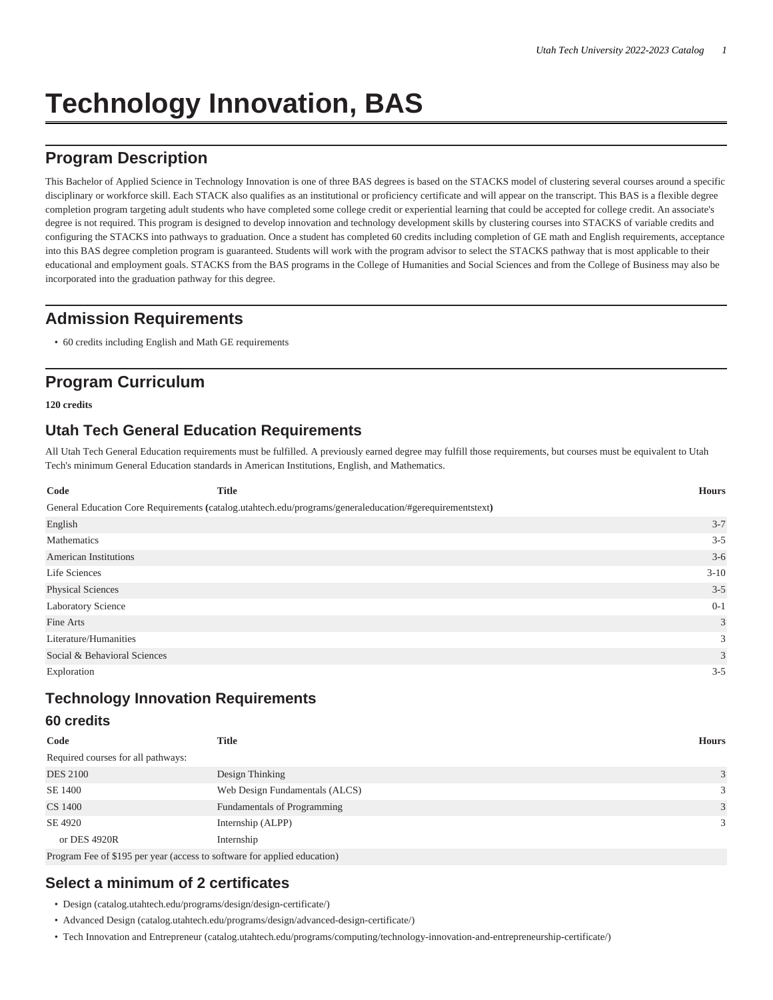# **Technology Innovation, BAS**

# **Program Description**

This Bachelor of Applied Science in Technology Innovation is one of three BAS degrees is based on the STACKS model of clustering several courses around a specific disciplinary or workforce skill. Each STACK also qualifies as an institutional or proficiency certificate and will appear on the transcript. This BAS is a flexible degree completion program targeting adult students who have completed some college credit or experiential learning that could be accepted for college credit. An associate's degree is not required. This program is designed to develop innovation and technology development skills by clustering courses into STACKS of variable credits and configuring the STACKS into pathways to graduation. Once a student has completed 60 credits including completion of GE math and English requirements, acceptance into this BAS degree completion program is guaranteed. Students will work with the program advisor to select the STACKS pathway that is most applicable to their educational and employment goals. STACKS from the BAS programs in the College of Humanities and Social Sciences and from the College of Business may also be incorporated into the graduation pathway for this degree.

## **Admission Requirements**

• 60 credits including English and Math GE requirements

# **Program Curriculum**

**120 credits**

## **Utah Tech General Education Requirements**

All Utah Tech General Education requirements must be fulfilled. A previously earned degree may fulfill those requirements, but courses must be equivalent to Utah Tech's minimum General Education standards in American Institutions, English, and Mathematics.

| Code                         | <b>Title</b>                                                                                             | <b>Hours</b> |
|------------------------------|----------------------------------------------------------------------------------------------------------|--------------|
|                              | General Education Core Requirements (catalog.utahtech.edu/programs/generaleducation/#gerequirementstext) |              |
| English                      |                                                                                                          | $3 - 7$      |
| Mathematics                  |                                                                                                          | $3 - 5$      |
| <b>American Institutions</b> |                                                                                                          | $3-6$        |
| Life Sciences                |                                                                                                          | $3-10$       |
| <b>Physical Sciences</b>     |                                                                                                          | $3 - 5$      |
| Laboratory Science           |                                                                                                          | $0 - 1$      |
| Fine Arts                    |                                                                                                          | 3            |
| Literature/Humanities        |                                                                                                          | 3            |
| Social & Behavioral Sciences |                                                                                                          | 3            |
| Exploration                  |                                                                                                          | $3 - 5$      |

## **Technology Innovation Requirements**

### **60 credits**

| Code                               | Title                                                                           | <b>Hours</b> |
|------------------------------------|---------------------------------------------------------------------------------|--------------|
| Required courses for all pathways: |                                                                                 |              |
| <b>DES 2100</b>                    | Design Thinking                                                                 | 3            |
| SE 1400                            | Web Design Fundamentals (ALCS)                                                  | 3            |
| CS 1400                            | Fundamentals of Programming                                                     | 3            |
| SE 4920                            | Internship (ALPP)                                                               | 3            |
| or DES 4920R                       | Internship                                                                      |              |
|                                    | $D_{\text{reform}}$ Eq. of $0.105$ particle (access to software for evaluation) |              |

Program Fee of \$195 per year (access to software for applied education)

## **Select a minimum of 2 certificates**

- [Design \(catalog.utahtech.edu/programs/design/design-certificate/\)](catalog.utahtech.edu/programs/design/design-certificate/)
- [Advanced Design](catalog.utahtech.edu/programs/design/advanced-design-certificate/) ([catalog.utahtech.edu/programs/design/advanced-design-certificate/\)](catalog.utahtech.edu/programs/design/advanced-design-certificate/)
- [Tech Innovation and Entrepreneur](catalog.utahtech.edu/programs/computing/technology-innovation-and-entrepreneurship-certificate/) (<catalog.utahtech.edu/programs/computing/technology-innovation-and-entrepreneurship-certificate/>)